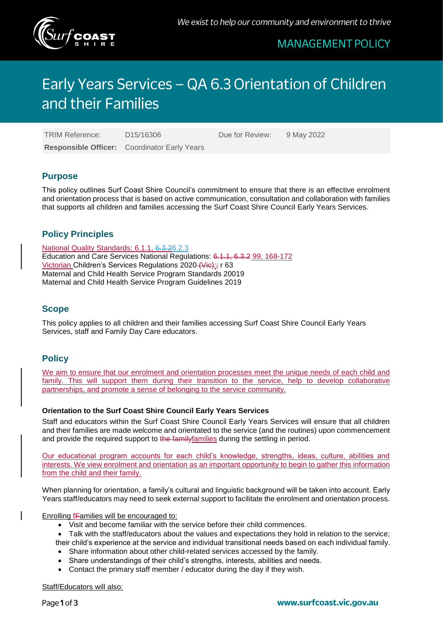

# **MANAGEMENT POLICY**

# Early Years Services - QA 6.3 Orientation of Children and their Families

TRIM Reference: D15/16306 Due for Review: 9 May 2022

**Responsible Officer:** Coordinator Early Years

# **Purpose**

This policy outlines Surf Coast Shire Council's commitment to ensure that there is an effective enrolment and orientation process that is based on active communication, consultation and collaboration with families that supports all children and families accessing the Surf Coast Shire Council Early Years Services.

# **Policy Principles**

National Quality Standards: 6.1.1, 6.3.26.2.3 Education and Care Services National Regulations: 6.1.1, 6.3.2 99, 168-172 Victorian Children's Services Regulations 2020 (Victorian 63 Maternal and Child Health Service Program Standards 20019 Maternal and Child Health Service Program Guidelines 2019

# **Scope**

This policy applies to all children and their families accessing Surf Coast Shire Council Early Years Services, staff and Family Day Care educators.

# **Policy**

We aim to ensure that our enrolment and orientation processes meet the unique needs of each child and family. This will support them during their transition to the service, help to develop collaborative partnerships, and promote a sense of belonging to the service community.

## **Orientation to the Surf Coast Shire Council Early Years Services**

Staff and educators within the Surf Coast Shire Council Early Years Services will ensure that all children and their families are made welcome and orientated to the service (and the routines) upon commencement and provide the required support to the family families during the settling in period.

Our educational program accounts for each child's knowledge, strengths, ideas, culture, abilities and interests. We view enrolment and orientation as an important opportunity to begin to gather this information from the child and their family.

When planning for orientation, a family's cultural and linguistic background will be taken into account. Early Years staff/educators may need to seek external support to facilitate the enrolment and orientation process.

Enrolling fFamilies will be encouraged to:

- Visit and become familiar with the service before their child commences.
- Talk with the staff/educators about the values and expectations they hold in relation to the service; their child's experience at the service and individual transitional needs based on each individual family.
- Share information about other child-related services accessed by the family.
- Share understandings of their child's strengths, interests, abilities and needs.
- Contact the primary staff member / educator during the day if they wish.

Staff/Educators will also: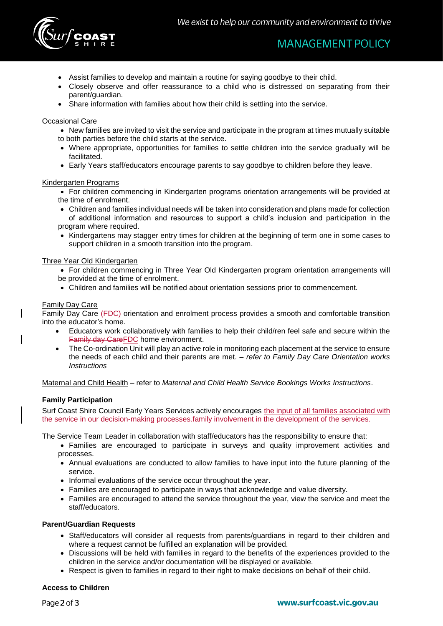

- Assist families to develop and maintain a routine for saying goodbye to their child.
- Closely observe and offer reassurance to a child who is distressed on separating from their parent/guardian.
- Share information with families about how their child is settling into the service.

### Occasional Care

- New families are invited to visit the service and participate in the program at times mutually suitable to both parties before the child starts at the service.
- Where appropriate, opportunities for families to settle children into the service gradually will be facilitated.
- Early Years staff/educators encourage parents to say goodbye to children before they leave.

#### Kindergarten Programs

- For children commencing in Kindergarten programs orientation arrangements will be provided at the time of enrolment.
- Children and families individual needs will be taken into consideration and plans made for collection of additional information and resources to support a child's inclusion and participation in the program where required.
- Kindergartens may stagger entry times for children at the beginning of term one in some cases to support children in a smooth transition into the program.

### Three Year Old Kindergarten

- For children commencing in Three Year Old Kindergarten program orientation arrangements will be provided at the time of enrolment.
- Children and families will be notified about orientation sessions prior to commencement.

### Family Day Care

Family Day Care (FDC) orientation and enrolment process provides a smooth and comfortable transition into the educator's home.

- Educators work collaboratively with families to help their child/ren feel safe and secure within the Family day CareFDC home environment.
- The Co-ordination Unit will play an active role in monitoring each placement at the service to ensure the needs of each child and their parents are met. – *refer to Family Day Care Orientation works Instructions*

Maternal and Child Health – refer to *Maternal and Child Health Service Bookings Works Instructions*.

## **Family Participation**

Surf Coast Shire Council Early Years Services actively encourages the input of all families associated with the service in our decision-making processes.family involvement in the development of the services.

The Service Team Leader in collaboration with staff/educators has the responsibility to ensure that:

- Families are encouraged to participate in surveys and quality improvement activities and processes.
- Annual evaluations are conducted to allow families to have input into the future planning of the service.
- Informal evaluations of the service occur throughout the year.
- Families are encouraged to participate in ways that acknowledge and value diversity.
- Families are encouraged to attend the service throughout the year, view the service and meet the staff/educators.

## **Parent/Guardian Requests**

- Staff/educators will consider all requests from parents/guardians in regard to their children and where a request cannot be fulfilled an explanation will be provided.
- Discussions will be held with families in regard to the benefits of the experiences provided to the children in the service and/or documentation will be displayed or available.
- Respect is given to families in regard to their right to make decisions on behalf of their child.

#### **Access to Children**